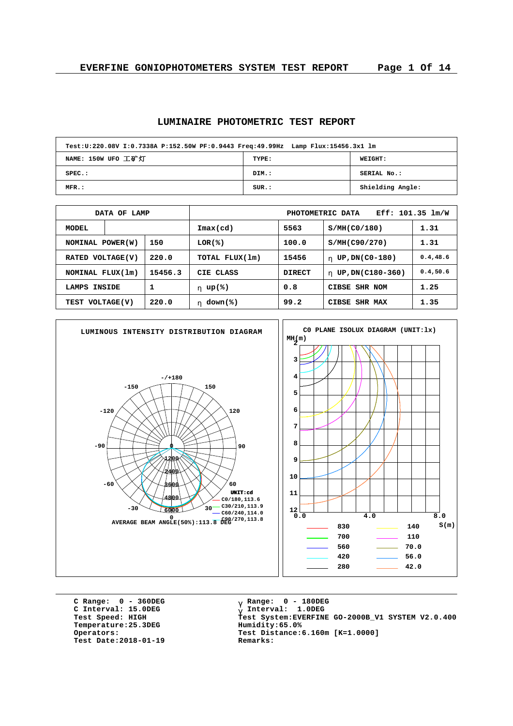#### **LUMINAIRE PHOTOMETRIC TEST REPORT**

| Test:U:220.08V I:0.7338A P:152.50W PF:0.9443 Freq:49.99Hz Lamp Flux:15456.3x1 lm |       |                  |  |  |  |  |  |  |  |
|----------------------------------------------------------------------------------|-------|------------------|--|--|--|--|--|--|--|
| NAME: 150W UFO 工矿灯                                                               | TYPE: | WEIGHT:          |  |  |  |  |  |  |  |
| $SPEC.$ :                                                                        | DIM.: | SERIAL No.:      |  |  |  |  |  |  |  |
| MFR.:                                                                            | SUR.: | Shielding Angle: |  |  |  |  |  |  |  |

|                             | DATA OF LAMP |       | Eff: 101.35 lm/W<br>PHOTOMETRIC DATA |               |                        |           |  |  |  |
|-----------------------------|--------------|-------|--------------------------------------|---------------|------------------------|-----------|--|--|--|
| MODEL                       |              |       | $\texttt{Imax}(\text{cd})$           | 5563          | S/MH(C0/180)           | 1.31      |  |  |  |
| NOMINAL POWER(W)            |              | 150   | $LOR(\mathcal{E})$                   | 100.0         | S/MH(C90/270)          | 1.31      |  |  |  |
| RATED VOLTAGE(V)            |              | 220.0 | TOTAL FLUX(1m)                       | 15456         | UP, DN(C0-180)<br>h.   | 0.4, 48.6 |  |  |  |
| 15456.3<br>NOMINAL FLUX(1m) |              |       | CIE CLASS                            | <b>DIRECT</b> | UP, DN(C180-360)<br>h. | 0.4, 50.6 |  |  |  |
| LAMPS                       | INSIDE       | 1     | h $up(*)$                            | 0.8           | CIBSE SHR NOM          | 1.25      |  |  |  |
| TEST VOLTAGE(V)             |              | 220.0 | down(%)<br>h.                        | 99.2          | CIBSE SHR MAX          | 1.35      |  |  |  |



**C Range: 0 - 360DEG C Interval: 15.0DEG**  $Temperature:25.3DEG$ **Test Date:2018-01-19 Remarks:**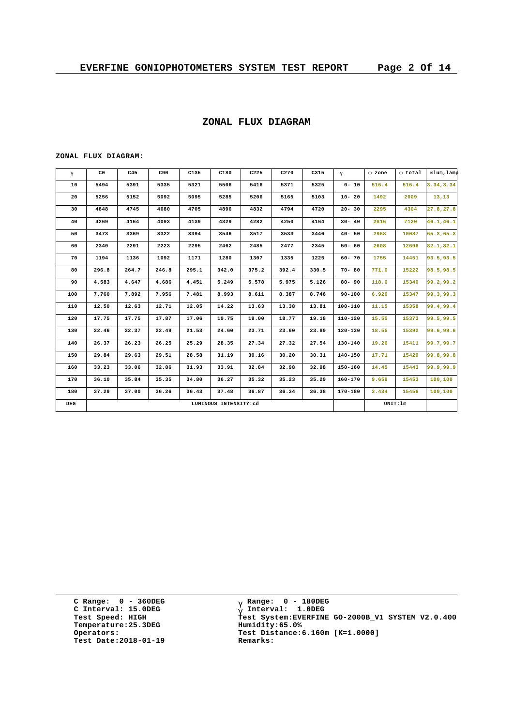#### **ZONAL FLUX DIAGRAM**

**ZONAL FLUX DIAGRAM:**

| g   | C <sub>0</sub>        | C45   | C90   | C135  | C180  | C225  | C270  | C315  | $\mathsf{q}$ | F zone | F total  | %lum, lamp |
|-----|-----------------------|-------|-------|-------|-------|-------|-------|-------|--------------|--------|----------|------------|
| 10  | 5494                  | 5391  | 5335  | 5321  | 5506  | 5416  | 5371  | 5325  | $0 - 10$     | 516.4  | 516.4    | 3.34, 3.34 |
| 20  | 5256                  | 5152  | 5092  | 5095  | 5285  | 5206  | 5165  | 5103  | $10 - 20$    | 1492   | 2009     | 13, 13     |
| 30  | 4848                  | 4745  | 4680  | 4705  | 4896  | 4832  | 4794  | 4720  | $20 - 30$    | 2295   | 4304     | 27.8,27.8  |
| 40  | 4269                  | 4164  | 4093  | 4139  | 4329  | 4282  | 4250  | 4164  | $30 - 40$    | 2816   | 7120     | 46.1,46.1  |
| 50  | 3473                  | 3369  | 3322  | 3394  | 3546  | 3517  | 3533  | 3446  | $40 - 50$    | 2968   | 10087    | 65.3,65.3  |
| 60  | 2340                  | 2291  | 2223  | 2295  | 2462  | 2485  | 2477  | 2345  | $50 - 60$    | 2608   | 12696    | 82.1,82.1  |
| 70  | 1194                  | 1136  | 1092  | 1171  | 1280  | 1307  | 1335  | 1225  | $60 - 70$    | 1755   | 14451    | 93.5,93.5  |
| 80  | 296.8                 | 264.7 | 246.8 | 295.1 | 342.0 | 375.2 | 392.4 | 330.5 | $70 - 80$    | 771.0  | 15222    | 98.5,98.5  |
| 90  | 4.583                 | 4.647 | 4.686 | 4.451 | 5.249 | 5.578 | 5.975 | 5.126 | $80 - 90$    | 118.0  | 15340    | 99.2,99.2  |
| 100 | 7.760                 | 7.892 | 7.956 | 7.481 | 8.993 | 8.611 | 8.387 | 8.746 | $90 - 100$   | 6.920  | 15347    | 99.3,99.3  |
| 110 | 12.50                 | 12.63 | 12.71 | 12.05 | 14.22 | 13.63 | 13.38 | 13.81 | $100 - 110$  | 11.15  | 15358    | 99.4,99.4  |
| 120 | 17.75                 | 17.75 | 17.87 | 17.06 | 19.75 | 19.00 | 18.77 | 19.18 | 110-120      | 15.55  | 15373    | 99.5,99.5  |
| 130 | 22.46                 | 22.37 | 22.49 | 21.53 | 24.60 | 23.71 | 23.60 | 23.89 | 120-130      | 18.55  | 15392    | 99.6,99.6  |
| 140 | 26.37                 | 26.23 | 26.25 | 25.29 | 28.35 | 27.34 | 27.32 | 27.54 | $130 - 140$  | 19.26  | 15411    | 99.7,99.7  |
| 150 | 29.84                 | 29.63 | 29.51 | 28.58 | 31.19 | 30.16 | 30.20 | 30.31 | $140 - 150$  | 17.71  | 15429    | 99.8,99.8  |
| 160 | 33.23                 | 33.06 | 32.86 | 31.93 | 33.91 | 32.84 | 32.98 | 32.98 | 150-160      | 14.45  | 15443    | 99.9,99.9  |
| 170 | 36.10                 | 35.84 | 35.35 | 34.80 | 36.27 | 35.32 | 35.23 | 35.29 | $160 - 170$  | 9.659  | 15453    | 100,100    |
| 180 | 37.29                 | 37.00 | 36.26 | 36.43 | 37.48 | 36.87 | 36.34 | 36.38 | 170-180      | 3.434  | 15456    | 100,100    |
| DEG | LUMINOUS INTENSITY:cd |       |       |       |       |       |       |       |              |        | UNIT: 1m |            |

**C Range: 0 - 360DEG C Interval: 15.0DEG Temperature:25.3DEG Humidity:65.0% Test Date:2018-01-19 Remarks:**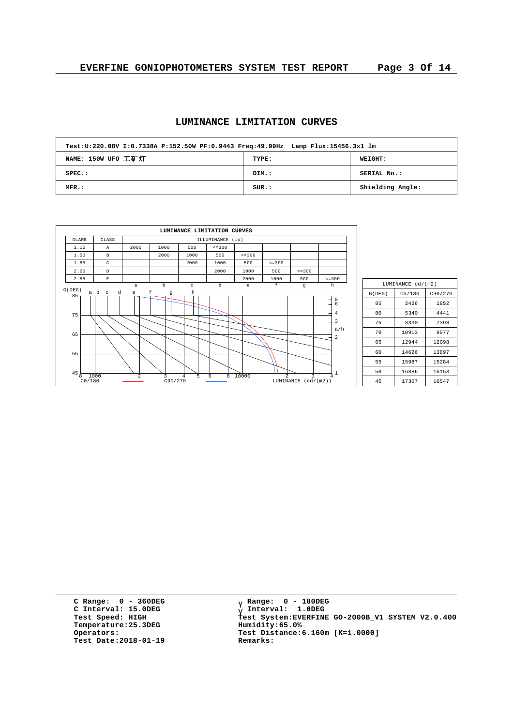# **LUMINANCE LIMITATION CURVES**

| Test:U:220.08V I:0.7338A P:152.50W PF:0.9443 Freq:49.99Hz Lamp Flux:15456.3x1 lm |       |                  |
|----------------------------------------------------------------------------------|-------|------------------|
| NAME: 150W UFO 工矿灯                                                               | TYPE: | WEIGHT:          |
| $SPEC.$ :                                                                        | DIM.: | SERIAL No.:      |
| MFR.:                                                                            | SUR.: | Shielding Angle: |

| CLASS<br>GLARE<br>ILLUMINANCE (1x)<br>1.15<br>2000<br>$\le$ = 300<br>1000<br>500<br>$\mathbb{A}$<br>1.50<br>1000<br>500<br>$\leq$ = 300<br>2000<br>B<br>1.85<br>$\mathsf{C}$<br>2000<br>1000<br>500<br>$\leq$ = 300<br>2.20<br>2000<br>1000<br>500<br>$\mathbb{D}$<br>2.55<br>2000<br>1000<br>$\mathbf E$<br>d<br>f<br>$\mathbf b$ | $\leq$ = 300<br>500      | $\leq$ = 300                  |
|------------------------------------------------------------------------------------------------------------------------------------------------------------------------------------------------------------------------------------------------------------------------------------------------------------------------------------|--------------------------|-------------------------------|
|                                                                                                                                                                                                                                                                                                                                    |                          |                               |
|                                                                                                                                                                                                                                                                                                                                    |                          |                               |
|                                                                                                                                                                                                                                                                                                                                    |                          |                               |
|                                                                                                                                                                                                                                                                                                                                    |                          |                               |
|                                                                                                                                                                                                                                                                                                                                    |                          |                               |
|                                                                                                                                                                                                                                                                                                                                    |                          |                               |
| e<br>$\mathbf{C}$<br>$\overline{a}$<br>G(DEG)<br>f<br>a b<br>h<br>d<br>e<br>$\mathbf{C}$<br>g                                                                                                                                                                                                                                      | g                        | h                             |
| 85<br>75                                                                                                                                                                                                                                                                                                                           |                          | $\frac{8}{6}$<br>$\bf 4$<br>3 |
| 65                                                                                                                                                                                                                                                                                                                                 |                          | a/h<br>$\overline{a}$         |
| 55                                                                                                                                                                                                                                                                                                                                 |                          |                               |
| $45\frac{1}{8}$<br>$\overline{2}$<br>10000<br>5<br>8<br>$\mathfrak{D}$<br>1000<br>3<br>$\overline{4}$<br>6<br>CO/180<br>C90/270                                                                                                                                                                                                    | ς<br>LUMINANCE (cd/(m2)) | 1<br>4                        |

|        | LUMINANCE cd/(m2) |         |  |  |  |  |  |  |  |
|--------|-------------------|---------|--|--|--|--|--|--|--|
| G(DEG) | CO/180            | C90/270 |  |  |  |  |  |  |  |
| 85     | 2426              | 1852    |  |  |  |  |  |  |  |
| 80     | 5340              | 4441    |  |  |  |  |  |  |  |
| 75     | 8330              | 7398    |  |  |  |  |  |  |  |
| 70     | 10913             | 9977    |  |  |  |  |  |  |  |
| 65     | 12944             | 12098   |  |  |  |  |  |  |  |
| 60     | 14626             | 13897   |  |  |  |  |  |  |  |
| 55     | 15987             | 15284   |  |  |  |  |  |  |  |
| 50     | 16886             | 16153   |  |  |  |  |  |  |  |
| 45     | 17307             | 16547   |  |  |  |  |  |  |  |

**C Range: 0 - 360DEG C Interval: 15.0DEG Temperature:25.3DEG Humidity:65.0%**<br>Operators: Test Distance: **Test Date:2018-01-19 Remarks:**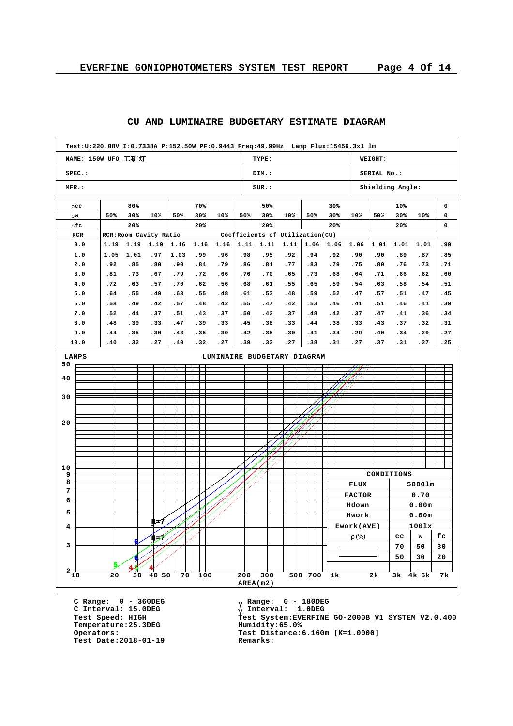٦

# **CU AND LUMINAIRE BUDGETARY ESTIMATE DIAGRAM Test:U:220.08V I:0.7338A P:152.50W PF:0.9443 Freq:49.99Hz Lamp Flux:15456.3x1 lm**

| $SPEC.$ :<br>MFR.:<br>r cc<br>80%<br>70%<br>50%<br>30%<br>10%<br>50%<br>30%<br>10%<br>r w<br>r fc<br>20%<br>20%<br>RCR: Room Cavity Ratio<br>RCR<br>0.0<br>1.19<br>1.16<br>1.16<br>1.16<br>1.19<br>1.19<br>.99<br>.96<br>1.0<br>1.05<br>1.01<br>.97<br>1.03<br>2.0<br>.84<br>.79<br>.92<br>.85<br>.80<br>.90<br>.72<br>3.0<br>.81<br>.73<br>.67<br>.79<br>.66<br>4.0<br>.72<br>.63<br>.70<br>.62<br>.56<br>.57<br>5.0<br>.55<br>.64<br>.55<br>.49<br>.63<br>.48<br>6.0<br>.58<br>.49<br>.57<br>.48<br>.42<br>.42<br>7.0<br>.52<br>.44<br>.37<br>.51<br>.43<br>.37<br>8.0<br>.48<br>.39<br>.47<br>.39<br>.33<br>.33<br>9.0<br>.35<br>.44<br>.35<br>.30<br>.43<br>.30<br>10.0<br>.27<br>.32<br>.40<br>.32<br>.40<br>.27<br><b>LAMPS</b><br>LUMINAIRE BUDGETARY DIAGRAM<br>50<br>40<br>30 | DIM.:<br>SUR.:<br>50%<br>50%<br>30%<br>20%<br>Coefficients of Utilization(CU)<br>1.11<br>1.11<br>.98<br>.95<br>.86<br>.81<br>.76<br>.70<br>.68<br>.61<br>.61<br>.53<br>.55<br>.47<br>.50<br>.42<br>.45<br>.38<br>.42<br>.35 | 10%<br>1.11<br>.92<br>.77<br>.65<br>.55<br>.48<br>.42<br>.37<br>.33 | 50%<br>1.06<br>.94<br>.83<br>.73<br>.65<br>.59<br>.53 | 30%<br>30%<br>20%<br>1.06<br>.92<br>.79<br>.68<br>.59<br>.52 | 10%<br>1.06<br>.90<br>.75<br>.64<br>.54 | SERIAL No.:<br>50%<br>1.01<br>.90<br>.80<br>.71 | Shielding Angle:<br>10%<br>30%<br>20%<br>1.01<br>.89<br>.76 | 10%<br>1.01<br>.87<br>.73 | 0<br>0<br>0<br>.99<br>.85 |
|----------------------------------------------------------------------------------------------------------------------------------------------------------------------------------------------------------------------------------------------------------------------------------------------------------------------------------------------------------------------------------------------------------------------------------------------------------------------------------------------------------------------------------------------------------------------------------------------------------------------------------------------------------------------------------------------------------------------------------------------------------------------------------------|-----------------------------------------------------------------------------------------------------------------------------------------------------------------------------------------------------------------------------|---------------------------------------------------------------------|-------------------------------------------------------|--------------------------------------------------------------|-----------------------------------------|-------------------------------------------------|-------------------------------------------------------------|---------------------------|---------------------------|
|                                                                                                                                                                                                                                                                                                                                                                                                                                                                                                                                                                                                                                                                                                                                                                                        |                                                                                                                                                                                                                             |                                                                     |                                                       |                                                              |                                         |                                                 |                                                             |                           |                           |
|                                                                                                                                                                                                                                                                                                                                                                                                                                                                                                                                                                                                                                                                                                                                                                                        |                                                                                                                                                                                                                             |                                                                     |                                                       |                                                              |                                         |                                                 |                                                             |                           |                           |
|                                                                                                                                                                                                                                                                                                                                                                                                                                                                                                                                                                                                                                                                                                                                                                                        |                                                                                                                                                                                                                             |                                                                     |                                                       |                                                              |                                         |                                                 |                                                             |                           |                           |
|                                                                                                                                                                                                                                                                                                                                                                                                                                                                                                                                                                                                                                                                                                                                                                                        |                                                                                                                                                                                                                             |                                                                     |                                                       |                                                              |                                         |                                                 |                                                             |                           |                           |
|                                                                                                                                                                                                                                                                                                                                                                                                                                                                                                                                                                                                                                                                                                                                                                                        |                                                                                                                                                                                                                             |                                                                     |                                                       |                                                              |                                         |                                                 |                                                             |                           |                           |
|                                                                                                                                                                                                                                                                                                                                                                                                                                                                                                                                                                                                                                                                                                                                                                                        |                                                                                                                                                                                                                             |                                                                     |                                                       |                                                              |                                         |                                                 |                                                             |                           |                           |
|                                                                                                                                                                                                                                                                                                                                                                                                                                                                                                                                                                                                                                                                                                                                                                                        |                                                                                                                                                                                                                             |                                                                     |                                                       |                                                              |                                         |                                                 |                                                             |                           |                           |
|                                                                                                                                                                                                                                                                                                                                                                                                                                                                                                                                                                                                                                                                                                                                                                                        |                                                                                                                                                                                                                             |                                                                     |                                                       |                                                              |                                         |                                                 |                                                             |                           |                           |
|                                                                                                                                                                                                                                                                                                                                                                                                                                                                                                                                                                                                                                                                                                                                                                                        |                                                                                                                                                                                                                             |                                                                     |                                                       |                                                              |                                         |                                                 |                                                             |                           | .71                       |
|                                                                                                                                                                                                                                                                                                                                                                                                                                                                                                                                                                                                                                                                                                                                                                                        |                                                                                                                                                                                                                             |                                                                     |                                                       |                                                              |                                         |                                                 | .66                                                         | .62                       | .60                       |
|                                                                                                                                                                                                                                                                                                                                                                                                                                                                                                                                                                                                                                                                                                                                                                                        |                                                                                                                                                                                                                             |                                                                     |                                                       |                                                              |                                         | .63                                             | .58                                                         | .54                       | .51                       |
|                                                                                                                                                                                                                                                                                                                                                                                                                                                                                                                                                                                                                                                                                                                                                                                        |                                                                                                                                                                                                                             |                                                                     |                                                       |                                                              | .47                                     | .57                                             | .51                                                         | .47                       | .45                       |
|                                                                                                                                                                                                                                                                                                                                                                                                                                                                                                                                                                                                                                                                                                                                                                                        |                                                                                                                                                                                                                             |                                                                     |                                                       | .46                                                          | .41                                     | .51                                             | .46                                                         | .41                       | .39                       |
|                                                                                                                                                                                                                                                                                                                                                                                                                                                                                                                                                                                                                                                                                                                                                                                        |                                                                                                                                                                                                                             |                                                                     | .48                                                   | .42                                                          | .37                                     | .47                                             | .41                                                         | .36                       | .34                       |
|                                                                                                                                                                                                                                                                                                                                                                                                                                                                                                                                                                                                                                                                                                                                                                                        |                                                                                                                                                                                                                             |                                                                     | .44                                                   | .38                                                          | .33                                     | .43                                             | .37                                                         | .32                       | .31                       |
|                                                                                                                                                                                                                                                                                                                                                                                                                                                                                                                                                                                                                                                                                                                                                                                        | .39<br>.32                                                                                                                                                                                                                  | .30<br>.27                                                          | .41<br>.38                                            | .34<br>.31                                                   | .29<br>. 27                             | .40<br>.37                                      | .34<br>.31                                                  | .29<br>.27                | .27<br>.25                |
|                                                                                                                                                                                                                                                                                                                                                                                                                                                                                                                                                                                                                                                                                                                                                                                        |                                                                                                                                                                                                                             |                                                                     |                                                       |                                                              |                                         |                                                 |                                                             |                           |                           |
|                                                                                                                                                                                                                                                                                                                                                                                                                                                                                                                                                                                                                                                                                                                                                                                        |                                                                                                                                                                                                                             |                                                                     |                                                       |                                                              |                                         |                                                 |                                                             |                           |                           |
|                                                                                                                                                                                                                                                                                                                                                                                                                                                                                                                                                                                                                                                                                                                                                                                        |                                                                                                                                                                                                                             |                                                                     |                                                       |                                                              |                                         |                                                 |                                                             |                           |                           |
|                                                                                                                                                                                                                                                                                                                                                                                                                                                                                                                                                                                                                                                                                                                                                                                        |                                                                                                                                                                                                                             |                                                                     |                                                       |                                                              |                                         |                                                 |                                                             |                           |                           |
|                                                                                                                                                                                                                                                                                                                                                                                                                                                                                                                                                                                                                                                                                                                                                                                        |                                                                                                                                                                                                                             |                                                                     |                                                       |                                                              |                                         |                                                 |                                                             |                           |                           |
|                                                                                                                                                                                                                                                                                                                                                                                                                                                                                                                                                                                                                                                                                                                                                                                        |                                                                                                                                                                                                                             |                                                                     |                                                       |                                                              |                                         |                                                 |                                                             |                           |                           |
|                                                                                                                                                                                                                                                                                                                                                                                                                                                                                                                                                                                                                                                                                                                                                                                        |                                                                                                                                                                                                                             |                                                                     |                                                       |                                                              |                                         |                                                 |                                                             |                           |                           |
| 20                                                                                                                                                                                                                                                                                                                                                                                                                                                                                                                                                                                                                                                                                                                                                                                     |                                                                                                                                                                                                                             |                                                                     |                                                       |                                                              |                                         |                                                 |                                                             |                           |                           |
|                                                                                                                                                                                                                                                                                                                                                                                                                                                                                                                                                                                                                                                                                                                                                                                        |                                                                                                                                                                                                                             |                                                                     |                                                       |                                                              |                                         |                                                 |                                                             |                           |                           |
|                                                                                                                                                                                                                                                                                                                                                                                                                                                                                                                                                                                                                                                                                                                                                                                        |                                                                                                                                                                                                                             |                                                                     |                                                       |                                                              |                                         |                                                 |                                                             |                           |                           |
|                                                                                                                                                                                                                                                                                                                                                                                                                                                                                                                                                                                                                                                                                                                                                                                        |                                                                                                                                                                                                                             |                                                                     |                                                       |                                                              |                                         |                                                 |                                                             |                           |                           |
| 10                                                                                                                                                                                                                                                                                                                                                                                                                                                                                                                                                                                                                                                                                                                                                                                     |                                                                                                                                                                                                                             |                                                                     |                                                       |                                                              |                                         |                                                 |                                                             |                           |                           |
| 9                                                                                                                                                                                                                                                                                                                                                                                                                                                                                                                                                                                                                                                                                                                                                                                      |                                                                                                                                                                                                                             |                                                                     |                                                       |                                                              |                                         |                                                 | CONDITIONS                                                  |                           |                           |
| 8                                                                                                                                                                                                                                                                                                                                                                                                                                                                                                                                                                                                                                                                                                                                                                                      |                                                                                                                                                                                                                             |                                                                     |                                                       |                                                              | <b>FLUX</b>                             |                                                 |                                                             | 50001m                    |                           |
| 7                                                                                                                                                                                                                                                                                                                                                                                                                                                                                                                                                                                                                                                                                                                                                                                      |                                                                                                                                                                                                                             |                                                                     |                                                       |                                                              | <b>FACTOR</b>                           |                                                 |                                                             | 0.70                      |                           |
| 6                                                                                                                                                                                                                                                                                                                                                                                                                                                                                                                                                                                                                                                                                                                                                                                      |                                                                                                                                                                                                                             |                                                                     |                                                       |                                                              | Hdown                                   |                                                 |                                                             | 0.00m                     |                           |
| 5                                                                                                                                                                                                                                                                                                                                                                                                                                                                                                                                                                                                                                                                                                                                                                                      |                                                                                                                                                                                                                             |                                                                     |                                                       |                                                              | Hwork                                   |                                                 |                                                             | 0.00m                     |                           |
| Щ≠7<br>4                                                                                                                                                                                                                                                                                                                                                                                                                                                                                                                                                                                                                                                                                                                                                                               |                                                                                                                                                                                                                             |                                                                     |                                                       |                                                              | Ework(AVE)                              |                                                 |                                                             | 1001x                     |                           |
| المجتلا                                                                                                                                                                                                                                                                                                                                                                                                                                                                                                                                                                                                                                                                                                                                                                                |                                                                                                                                                                                                                             |                                                                     |                                                       |                                                              | r $(\%)$                                |                                                 | cc                                                          | w                         | fc                        |
| 3                                                                                                                                                                                                                                                                                                                                                                                                                                                                                                                                                                                                                                                                                                                                                                                      |                                                                                                                                                                                                                             |                                                                     |                                                       |                                                              |                                         |                                                 | 70                                                          | 50                        | 30                        |
|                                                                                                                                                                                                                                                                                                                                                                                                                                                                                                                                                                                                                                                                                                                                                                                        |                                                                                                                                                                                                                             |                                                                     |                                                       |                                                              |                                         |                                                 | 50                                                          | 30                        | 20                        |
|                                                                                                                                                                                                                                                                                                                                                                                                                                                                                                                                                                                                                                                                                                                                                                                        |                                                                                                                                                                                                                             |                                                                     |                                                       |                                                              |                                         |                                                 |                                                             |                           |                           |
| $^2$ 1 $\!\overleftarrow{\!}0$<br>20<br>30<br>40 50<br>70<br>100<br>200<br>AREA(m2)                                                                                                                                                                                                                                                                                                                                                                                                                                                                                                                                                                                                                                                                                                    | 300                                                                                                                                                                                                                         |                                                                     | 500 700                                               | 1k                                                           |                                         | 2k                                              | 3k                                                          | 4k 5k                     | 7k                        |

**C Range: 0 - 360DEG C Interval: 15.0DEG Temperature:25.3DEG Humidity:65.0% Test Date:2018-01-19 Remarks:**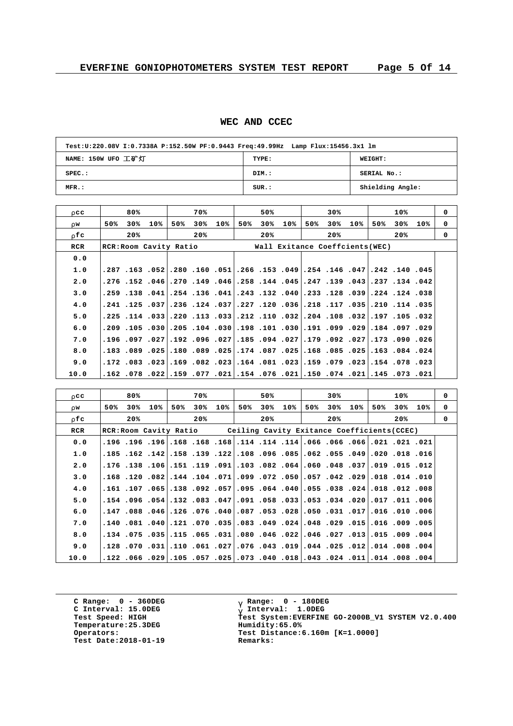#### **WEC AND CCEC**

| Test:U:220.08V I:0.7338A P:152.50W PF:0.9443 Freq:49.99Hz Lamp Flux:15456.3x1 lm |       |                  |  |  |  |  |  |  |  |
|----------------------------------------------------------------------------------|-------|------------------|--|--|--|--|--|--|--|
| NAME: 150W UFO 工矿灯                                                               | TYPE: | <b>WEIGHT:</b>   |  |  |  |  |  |  |  |
| $SPEC.$ :                                                                        | DIM.: | SERIAL No.:      |  |  |  |  |  |  |  |
| MFR.:                                                                            | SUR.: | Shielding Angle: |  |  |  |  |  |  |  |

| r cc       | 80%                                                                               |     |     | 70% |     |     | 50% |     |     | 30%                             |     |     | 10% |     | $\Omega$    |
|------------|-----------------------------------------------------------------------------------|-----|-----|-----|-----|-----|-----|-----|-----|---------------------------------|-----|-----|-----|-----|-------------|
| r w        | 50%<br>30%                                                                        | 10% | 50% | 30% | 10% | 50% | 30% | 10% | 50% | 30%                             | 10% | 50% | 30% | 10% | $\mathbf 0$ |
| r fc       | 20%                                                                               |     |     | 20% |     |     | 20% |     |     | 20%                             |     |     | 20% |     | $\Omega$    |
| <b>RCR</b> | RCR: Room Cavity Ratio                                                            |     |     |     |     |     |     |     |     | Wall Exitance Coeffcients (WEC) |     |     |     |     |             |
| 0.0        |                                                                                   |     |     |     |     |     |     |     |     |                                 |     |     |     |     |             |
| 1.0        | ا145، 140، 142، 147، 146، 154، 149، 153، 166، 150، 160، 180، 150، 163، 167، 287،  |     |     |     |     |     |     |     |     |                                 |     |     |     |     |             |
| 2.0        | 942، 134، 237، 439، 139، 139، 144، 148، 148، 149، 149، 147، 146، 152، 154، 276،   |     |     |     |     |     |     |     |     |                                 |     |     |     |     |             |
| 3.0        | 38. 124. 124. 139. 128. 128. 132. 140. 132. 134. 140. 156. 154. 140. 158. 159.    |     |     |     |     |     |     |     |     |                                 |     |     |     |     |             |
| 4.0        | ا351، 114. 120. 131, 1031. 128. 136. 120. 127. 137. 136. 124. 136. 136. 121. 121. |     |     |     |     |     |     |     |     |                                 |     |     |     |     |             |
| 5.0        | 320. 105. 109. 109. 108. 104. 204. 110. 112. 202. 103. 221. 223. 103. 114. 225.   |     |     |     |     |     |     |     |     |                                 |     |     |     |     |             |
| 6.0        | .209, 097, 104, 104, 099, 099, 101, 108, 101, 039, 104, 105, 030, 030, 105, 029,  |     |     |     |     |     |     |     |     |                                 |     |     |     |     |             |
| 7.0        | 261. 090. 173.,221. 092. 093. 179.,299. 185.,227. 096. 192.,227. 097. 096.        |     |     |     |     |     |     |     |     |                                 |     |     |     |     |             |
| 8.0        | 220. 284. 163. 255. 285. 168. 168. 207. 187. 275. 269. 180. 180. 275089. 183.     |     |     |     |     |     |     |     |     |                                 |     |     |     |     |             |
| 9.0        | 230. 103. 154.  230. 179. 159. 161.  230. 164.  230. 162. 169. 162. 163. 172.     |     |     |     |     |     |     |     |     |                                 |     |     |     |     |             |
| 10.0       | ا021. 073. 075. 021. 074. 076. 021. 076. 076. 074. 079. 079. 022. 078. 162.       |     |     |     |     |     |     |     |     |                                 |     |     |     |     |             |

| r cc | 80%                                                                               |            | 70%        | 50%        |     |     | 30% |     |     | 10% |     | $\Omega$ |
|------|-----------------------------------------------------------------------------------|------------|------------|------------|-----|-----|-----|-----|-----|-----|-----|----------|
| r w  | 50%<br>30%                                                                        | 10%<br>50% | 30%<br>10% | 50%<br>30% | 10% | 50% | 30% | 10% | 50% | 30% | 10% | 0        |
| r fc | 20%                                                                               |            | 20%        | 20%        |     |     | 20% |     |     | 20% |     | $\Omega$ |
| RCR  | RCR: Room Cavity Ratio Ceiling Cavity Exitance Coefficients (CCEC)                |            |            |            |     |     |     |     |     |     |     |          |
| 0.0  | .121. 021. 021. 066. 066. 066. 114. 114. 114. 168. 168. 168. 196. 196. 196. 196.  |            |            |            |     |     |     |     |     |     |     |          |
| 1.0  | 16. 18. 1020. 1039. 1052. 1052. 1086. 1096. 1088. 1081. 108. 108. 1051. 105. 105  |            |            |            |     |     |     |     |     |     |     |          |
| 2.0  | 120. 15. 109. 109. 108. 108. 1060. 1082. 1083. 1091. 11. 115. 106. 154. 176.      |            |            |            |     |     |     |     |     |     |     |          |
| 3.0  | 100. 110. 110. 201. 202. 042. 057. 057. 072. 099. 071. 104. 104. 082. 1168. 128.  |            |            |            |     |     |     |     |     |     |     |          |
| 4.0  | 008, 012. 018. 024. 024. 038. 040. 040. 054. 057. 057. 058. 040. 161. 161.        |            |            |            |     |     |     |     |     |     |     |          |
| 5.0  | 006, 111, 1017, 201، 204, 1053, 1058, 1058, 1091, 108, 1082, 1054, 1064, 154.     |            |            |            |     |     |     |     |     |     |     |          |
| 6.0  | 006, 101، 1016, 1017, 1031, 1050, 1050, 1087, 1090, 106, 106, 106, 1088, 147,     |            |            |            |     |     |     |     |     |     |     |          |
| 7.0  | 015, 029, 106, 151, 105, 288, 1048, 1049, 1033, 1035, 1070, 121, 1040, 1081, 140, |            |            |            |     |     |     |     |     |     |     |          |
| 8.0  | .009.000 009.115.05.022.046.022.046.022.046.027.135.075.059.05.05.05.             |            |            |            |     |     |     |     |     |     |     |          |
| 9.0  | 004, 008, 012, 012, 025, 044, 019, 043, 076, 027, 061, 010, 010, 070, 028,        |            |            |            |     |     |     |     |     |     |     |          |
| 10.0 | 004. 008. 011.  101. 024. 024. 018. 018. 040. 073.  025. 075. 024. 025. 024. 122. |            |            |            |     |     |     |     |     |     |     |          |

**C Range: 0 - 360DEG C Interval: 15.0DEG Temperature:25.3DEG Humidity:65.0%**<br>Operators: Test Distance: **Test Date:2018-01-19 Remarks:**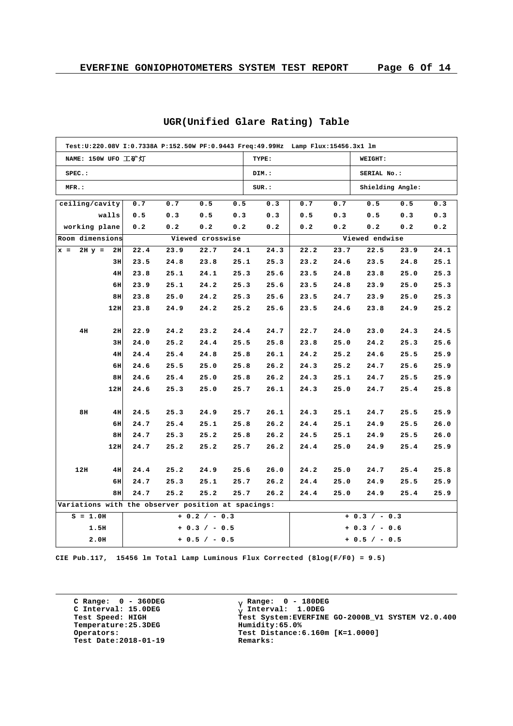|            |                    |                  |                                                    |                 |      |       | Test:U:220.08V I:0.7338A P:152.50W PF:0.9443 Freq:49.99Hz Lamp Flux:15456.3x1 lm |      |                  |      |      |
|------------|--------------------|------------------|----------------------------------------------------|-----------------|------|-------|----------------------------------------------------------------------------------|------|------------------|------|------|
|            | NAME: 150W UFO 工矿灯 |                  |                                                    |                 |      | TYPE: |                                                                                  |      | WEIGHT:          |      |      |
| SPEC.:     |                    |                  |                                                    |                 |      | DIM.: |                                                                                  |      | SERIAL No.:      |      |      |
| MFR.:      |                    |                  |                                                    |                 |      | SUR.: |                                                                                  |      | Shielding Angle: |      |      |
|            | ceiling/cavity     | 0.7              | 0.7                                                | 0.5             | 0.5  | 0.3   | 0.7                                                                              | 0.7  | 0.5              | 0.5  | 0.3  |
|            | walls              | 0.5              | 0.3                                                | 0.5             | 0.3  | 0.3   | 0.5                                                                              | 0.3  | 0.5              | 0.3  | 0.3  |
|            | working plane      | 0.2              | 0.2                                                | 0.2             | 0.2  | 0.2   | 0.2                                                                              | 0.2  | 0.2              | 0.2  | 0.2  |
|            | Room dimensions    | Viewed crosswise |                                                    |                 |      |       |                                                                                  |      | Viewed endwise   |      |      |
| $x =$      | $2H y =$<br>2H     | 22.4             | 23.9                                               | 22.7            | 24.1 | 24.3  | 22.2                                                                             | 23.7 | 22.5             | 23.9 | 24.1 |
|            | 3H                 | 23.5             | 24.8                                               | 23.8            | 25.1 | 25.3  | 23.2                                                                             | 24.6 | 23.5             | 24.8 | 25.1 |
|            | 4H                 | 23.8             | 25.1                                               | 24.1            | 25.3 | 25.6  | 23.5                                                                             | 24.8 | 23.8             | 25.0 | 25.3 |
|            | 6H                 | 23.9             | 25.1                                               | 24.2            | 25.3 | 25.6  | 23.5                                                                             | 24.8 | 23.9             | 25.0 | 25.3 |
|            | 8H                 | 23.8             | 25.0                                               | 24.2            | 25.3 | 25.6  | 23.5                                                                             | 24.7 | 23.9             | 25.0 | 25.3 |
|            | 12H                | 23.8             | 24.9                                               | 24.2            | 25.2 | 25.6  | 23.5                                                                             | 24.6 | 23.8             | 24.9 | 25.2 |
|            |                    |                  |                                                    |                 |      |       |                                                                                  |      |                  |      |      |
| 4H         | 2H                 | 22.9             | 24.2                                               | 23.2            | 24.4 | 24.7  | 22.7                                                                             | 24.0 | 23.0             | 24.3 | 24.5 |
|            | 3H                 | 24.0             | 25.2                                               | 24.4            | 25.5 | 25.8  | 23.8                                                                             | 25.0 | 24.2             | 25.3 | 25.6 |
|            | 4H                 | 24.4             | 25.4                                               | 24.8            | 25.8 | 26.1  | 24.2                                                                             | 25.2 | 24.6             | 25.5 | 25.9 |
|            | 6H                 | 24.6             | 25.5                                               | 25.0            | 25.8 | 26.2  | 24.3                                                                             | 25.2 | 24.7             | 25.6 | 25.9 |
|            | 8H                 | 24.6             | 25.4                                               | 25.0            | 25.8 | 26.2  | 24.3                                                                             | 25.1 | 24.7             | 25.5 | 25.9 |
|            | 12H                | 24.6             | 25.3                                               | 25.0            | 25.7 | 26.1  | 24.3                                                                             | 25.0 | 24.7             | 25.4 | 25.8 |
|            |                    |                  |                                                    |                 |      |       |                                                                                  |      |                  |      |      |
| 8H         | 4H                 | 24.5             | 25.3                                               | 24.9            | 25.7 | 26.1  | 24.3                                                                             | 25.1 | 24.7             | 25.5 | 25.9 |
|            | 6H                 | 24.7             | 25.4                                               | 25.1            | 25.8 | 26.2  | 24.4                                                                             | 25.1 | 24.9             | 25.5 | 26.0 |
|            | 8H                 | 24.7             | 25.3                                               | 25.2            | 25.8 | 26.2  | 24.5                                                                             | 25.1 | 24.9             | 25.5 | 26.0 |
|            | 12H                | 24.7             | 25.2                                               | 25.2            | 25.7 | 26.2  | 24.4                                                                             | 25.0 | 24.9             | 25.4 | 25.9 |
|            |                    |                  |                                                    |                 |      |       |                                                                                  |      |                  |      |      |
| 12H        | 4H                 | 24.4             | 25.2                                               | 24.9            | 25.6 | 26.0  | 24.2                                                                             | 25.0 | 24.7             | 25.4 | 25.8 |
|            | 6H                 | 24.7             | 25.3                                               | 25.1            | 25.7 | 26.2  | 24.4                                                                             | 25.0 | 24.9             | 25.5 | 25.9 |
|            | 8H                 | 24.7             | 25.2                                               | 25.2            | 25.7 | 26.2  | 24.4                                                                             | 25.0 | 24.9             | 25.4 | 25.9 |
|            |                    |                  | Variations with the observer position at spacings: |                 |      |       |                                                                                  |      |                  |      |      |
| $S = 1.0H$ |                    |                  |                                                    | $+ 0.2 / - 0.3$ |      |       |                                                                                  |      | $+ 0.3 / - 0.3$  |      |      |
|            | 1.5H               |                  |                                                    | $+ 0.3 / - 0.5$ |      |       |                                                                                  |      | + 0.3 / - 0.6    |      |      |
|            | 2.0H               |                  |                                                    | $+ 0.5 / - 0.5$ |      |       |                                                                                  |      | $+ 0.5 / - 0.5$  |      |      |

# **UGR(Unified Glare Rating) Table**

**CIE Pub.117, 15456 lm Total Lamp Luminous Flux Corrected (8log(F/F0) = 9.5)**

**C Range: 0 - 360DEG C Interval: 15.0DEG Temperature:25.3DEG Humidity:65.0% Test Date:2018-01-19 Remarks:**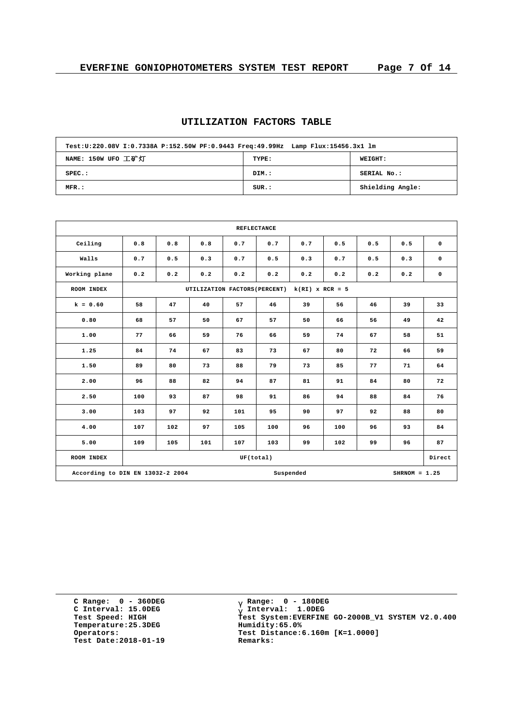| Test:U:220.08V I:0.7338A P:152.50W PF:0.9443 Freq:49.99Hz Lamp Flux:15456.3x1 lm |       |                  |
|----------------------------------------------------------------------------------|-------|------------------|
| NAME: 150W UFO 工矿灯                                                               | TYPE: | <b>WEIGHT:</b>   |
| $SPEC.$ :                                                                        | DIM.: | SERIAL No.:      |
| $MFR$ .:                                                                         | SUR.: | Shielding Angle: |

### **UTILIZATION FACTORS TABLE**

| <b>REFLECTANCE</b>               |     |     |     |     |                                               |     |            |     |     |             |  |  |  |
|----------------------------------|-----|-----|-----|-----|-----------------------------------------------|-----|------------|-----|-----|-------------|--|--|--|
| Ceiling                          | 0.8 | 0.8 | 0.8 | 0.7 | 0.7                                           | 0.7 | 0.5<br>0.5 |     | 0.5 | $\mathbf 0$ |  |  |  |
| Walls                            | 0.7 | 0.5 | 0.3 | 0.7 | 0.5                                           | 0.3 | 0.7        | 0.5 | 0.3 | $\mathbf 0$ |  |  |  |
| Working plane                    | 0.2 | 0.2 | 0.2 | 0.2 | 0.2                                           | 0.2 | 0.2        | 0.2 | 0.2 | $\mathbf 0$ |  |  |  |
| ROOM INDEX                       |     |     |     |     | UTILIZATION FACTORS (PERCENT) k(RI) x RCR = 5 |     |            |     |     |             |  |  |  |
| $k = 0.60$                       | 58  | 47  | 40  | 57  | 46                                            | 39  | 56         | 46  | 39  | 33          |  |  |  |
| 0.80                             | 68  | 57  | 50  | 67  | 57                                            | 50  | 66         | 56  | 49  | 42          |  |  |  |
| 1.00                             | 77  | 66  | 59  | 76  | 66                                            | 59  | 74         | 67  | 58  | 51          |  |  |  |
| 1.25                             | 84  | 74  | 67  | 83  | 73                                            | 67  | 80         | 72  | 66  | 59          |  |  |  |
| 1.50                             | 89  | 80  | 73  | 88  | 79                                            | 73  | 85         | 77  | 71  | 64          |  |  |  |
| 2.00                             | 96  | 88  | 82  | 94  | 87                                            | 81  | 91         | 84  | 80  | 72          |  |  |  |
| 2.50                             | 100 | 93  | 87  | 98  | 91                                            | 86  | 94         | 88  | 84  | 76          |  |  |  |
| 3.00                             | 103 | 97  | 92  | 101 | 95                                            | 90  | 97         | 92  | 88  | 80          |  |  |  |
| 4.00                             | 107 | 102 | 97  | 105 | 100                                           | 96  | 100        | 96  | 93  | 84          |  |  |  |
| 5.00                             | 109 | 105 | 101 | 107 | 103                                           | 99  | 102        | 99  | 96  | 87          |  |  |  |
| ROOM INDEX                       |     |     |     |     | UF(total)                                     |     |            |     |     | Direct      |  |  |  |
| According to DIN EN 13032-2 2004 |     |     |     |     | $SHRNOM = 1.25$                               |     |            |     |     |             |  |  |  |

**C Range: 0 - 360DEG C Interval: 15.0DEG Temperature:25.3DEG Humidity:65.0% Test Date:2018-01-19 Remarks:**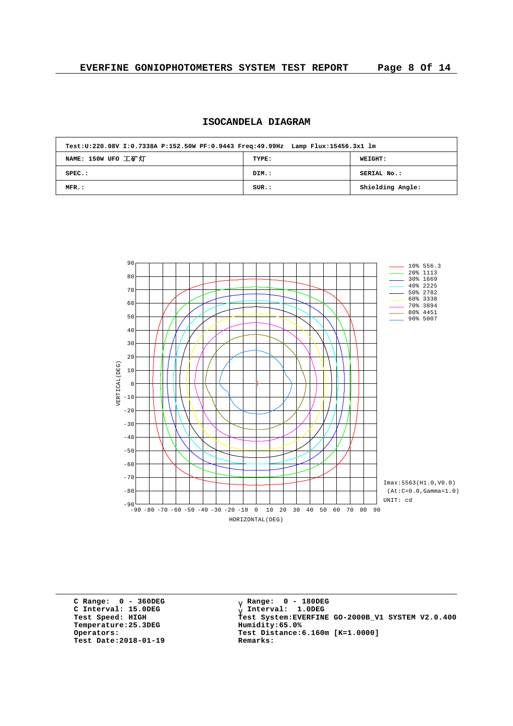| ISOCANDELA DIAGRAM |  |
|--------------------|--|
|                    |  |

| Test:U:220.08V I:0.7338A P:152.50W PF:0.9443 Freq:49.99Hz Lamp Flux:15456.3x1 lm |       |                  |  |  |  |  |  |  |  |  |
|----------------------------------------------------------------------------------|-------|------------------|--|--|--|--|--|--|--|--|
| NAME: 150W UFO 工矿灯                                                               | TYPE: | <b>WEIGHT:</b>   |  |  |  |  |  |  |  |  |
| $SPEC.$ :                                                                        | DIM.: | SERIAL No.:      |  |  |  |  |  |  |  |  |
| MFR.:                                                                            | SUR.: | Shielding Angle: |  |  |  |  |  |  |  |  |



**C Range: 0 - 360DEG C Interval: 15.0DEG Temperature:25.3DEG Humidity:65.0% Test Date:2018-01-19 Remarks:**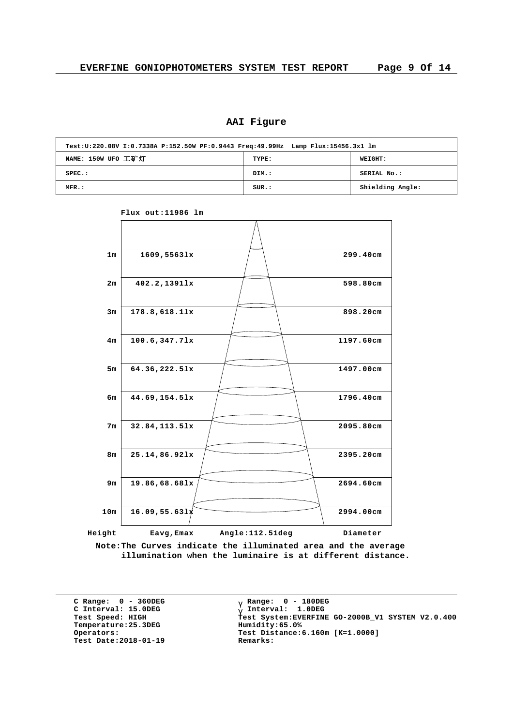# **AAI Figure**

| Test:U:220.08V I:0.7338A P:152.50W PF:0.9443 Freq:49.99Hz Lamp Flux:15456.3x1 lm |       |                  |  |  |  |  |  |  |  |  |
|----------------------------------------------------------------------------------|-------|------------------|--|--|--|--|--|--|--|--|
| NAME: 150W UFO 工矿灯                                                               | TYPE: | <b>WEIGHT:</b>   |  |  |  |  |  |  |  |  |
| $SPEC.$ :                                                                        | DIM.: | SERIAL No.:      |  |  |  |  |  |  |  |  |
| MFR.:                                                                            | SUR.: | Shielding Angle: |  |  |  |  |  |  |  |  |



**Flux out:11986 lm**

**Note:The Curves indicate the illuminated area and the average illumination when the luminaire is at different distance.**

**C Range: 0 - 360DEG C Interval: 15.0DEG**  $Temperature:25.3DEG$ **Test Date:2018-01-19 Remarks:**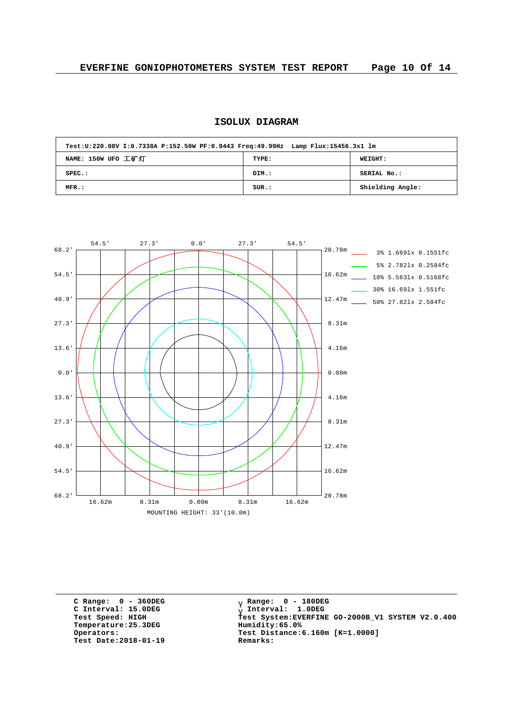# **ISOLUX DIAGRAM**

| Test:U:220.08V I:0.7338A P:152.50W PF:0.9443 Freq:49.99Hz Lamp Flux:15456.3x1 lm |       |                  |
|----------------------------------------------------------------------------------|-------|------------------|
| NAME: 150W UFO 工矿灯                                                               | TYPE: | WEIGHT:          |
| $SPEC.$ :                                                                        | DIM.: | SERIAL No.:      |
| MFR.:                                                                            | SUR.: | Shielding Angle: |



**C Range: 0 - 360DEG C Interval: 15.0DEG Temperature:25.3DEG Humidity:65.0% Test Date:2018-01-19 Remarks:**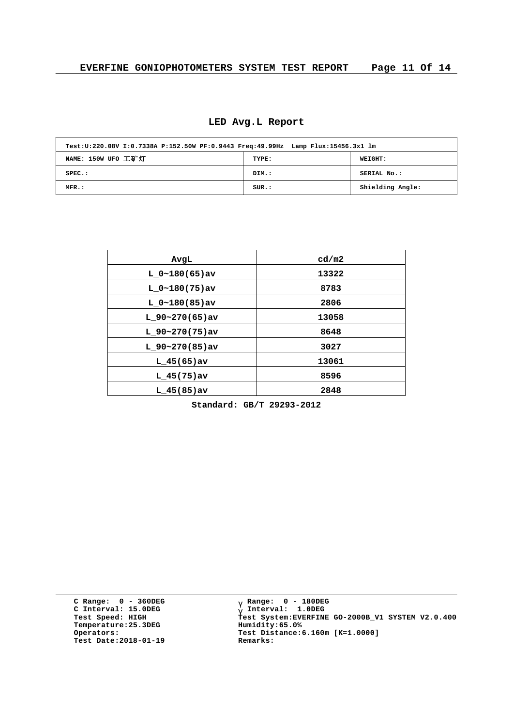| Test:U:220.08V I:0.7338A P:152.50W PF:0.9443 Freq:49.99Hz Lamp Flux:15456.3x1 lm |       |                  |  |  |  |  |  |  |  |  |
|----------------------------------------------------------------------------------|-------|------------------|--|--|--|--|--|--|--|--|
| NAME: 150W UFO 工矿灯                                                               | TYPE: | <b>WEIGHT:</b>   |  |  |  |  |  |  |  |  |
| $SPEC.$ :                                                                        | DIM.: | SERIAL No.:      |  |  |  |  |  |  |  |  |
| MFR.:                                                                            | SUR.: | Shielding Angle: |  |  |  |  |  |  |  |  |

| AvgL              | cd/m2 |
|-------------------|-------|
| $L 0~180(65)$ av  | 13322 |
| $L 0~180(75)$ av  | 8783  |
| $L 0~180(85)$ av  | 2806  |
| $L_90-270(65)$ av | 13058 |
| $L$ 90~270(75)av  | 8648  |
| $L$ 90~270(85)av  | 3027  |
| $L$ 45(65)av      | 13061 |
| $L$ 45(75)av      | 8596  |
| $L$ 45(85) av     | 2848  |

**Standard: GB/T 29293-2012**

**C Range: 0 - 360DEG C Interval: 15.0DEG Temperature:25.3DEG Humidity:65.0% Test Date:2018-01-19 Remarks:**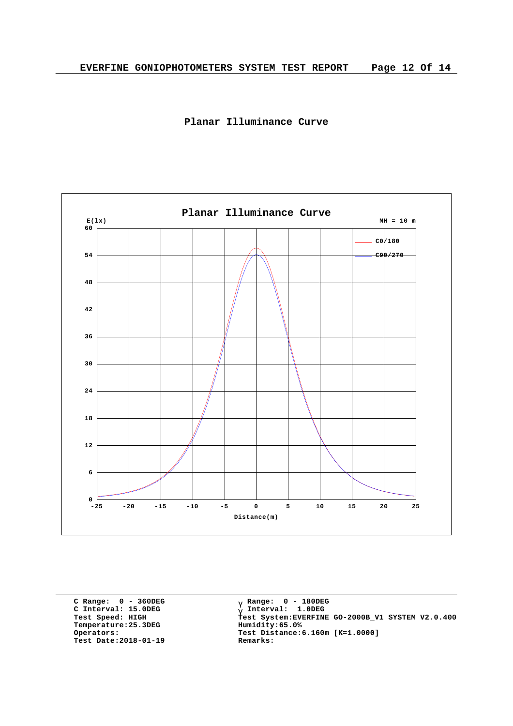



**C Range: 0 - 360DEG C Interval: 15.0DEG Temperature:25.3DEG Humidity:65.0% Test Date:2018-01-19 Remarks:**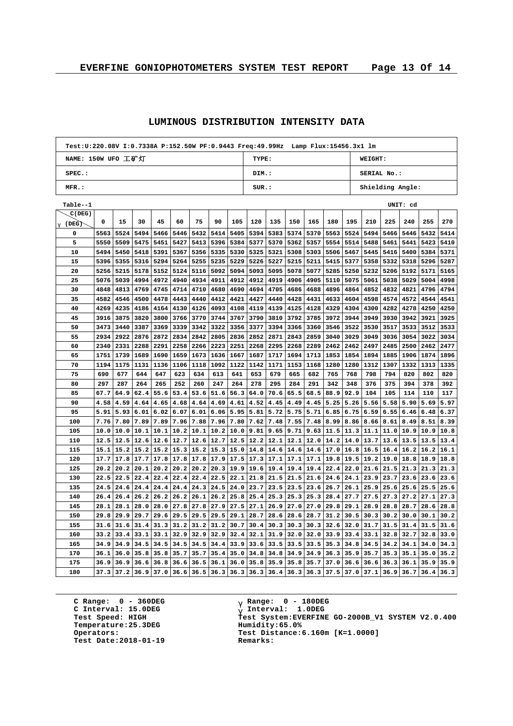# **LUMINOUS DISTRIBUTION INTENSITY DATA**

| Test:U:220.08V I:0.7338A P:152.50W PF:0.9443 Freq:49.99Hz Lamp Flux:15456.3x1 lm |      |      |      |             |                                           |             |      |      |                                          |      |      |      |                                 |      |                  |      |          |      |      |  |
|----------------------------------------------------------------------------------|------|------|------|-------------|-------------------------------------------|-------------|------|------|------------------------------------------|------|------|------|---------------------------------|------|------------------|------|----------|------|------|--|
| NAME: 150W UFO 工矿灯                                                               |      |      |      |             |                                           |             |      |      | <b>TYPE:</b><br><b>WEIGHT:</b>           |      |      |      |                                 |      |                  |      |          |      |      |  |
| SPEC.:                                                                           |      |      |      |             |                                           |             |      |      | DIM.:                                    |      |      |      |                                 |      | SERIAL No.:      |      |          |      |      |  |
| MFR.:                                                                            |      |      |      |             |                                           |             |      |      | $_{\texttt{SUR.}}$ :<br>Shielding Angle: |      |      |      |                                 |      |                  |      |          |      |      |  |
| Table--1                                                                         |      |      |      |             |                                           |             |      |      |                                          |      |      |      |                                 |      |                  |      | UNIT: cd |      |      |  |
| C(DEG)                                                                           |      |      |      |             |                                           |             |      |      |                                          |      |      |      |                                 |      |                  |      |          |      |      |  |
| $g(\text{DEG})$                                                                  | 0    | 15   | 30   | 45          | 60                                        | 75          | 90   | 105  | 120                                      | 135  | 150  | 165  | 180                             | 195  | 210              | 225  | 240      | 255  | 270  |  |
| 0                                                                                | 5563 | 5524 | 5494 | 5466        | 5446                                      | 5432        | 5414 | 5405 | 5394                                     | 5383 | 5374 | 5370 | 5563                            | 5524 | 5494             | 5466 | 5446     | 5432 | 5414 |  |
| 5                                                                                | 5550 | 5509 | 5475 | 5451        | 5427                                      | 5413        | 5396 | 5384 | 5377                                     | 5370 | 5362 | 5357 | 5554                            | 5514 | 5488             | 5461 | 5441     | 5423 | 5410 |  |
| 10                                                                               | 5494 | 5450 | 5418 | 5391        | 5367                                      | 5356        | 5335 | 5330 | 5325                                     | 5321 | 5308 | 5303 | 5506                            | 5467 | 5445             | 5416 | 5400     | 5384 | 5371 |  |
| 15                                                                               | 5396 | 5355 | 5316 | 5294        | 5264                                      | 5255        | 5235 | 5229 | 5226                                     | 5227 | 5215 | 5211 | 5415                            | 5377 | 5358             | 5332 | 5318     | 5296 | 5287 |  |
| 20                                                                               | 5256 | 5215 | 5178 | 5152        | 5124                                      | 5116        | 5092 | 5094 | 5093                                     | 5095 | 5078 | 5077 | 5285                            | 5250 | 5232             | 5206 | 5192     | 5171 | 5165 |  |
| 25                                                                               | 5076 | 5039 | 4994 | 4972        | 4940                                      | 4934        | 4911 | 4912 | 4912                                     | 4919 | 4906 | 4905 | 5110                            | 5075 | 5061             | 5038 | 5029     | 5004 | 4998 |  |
| 30                                                                               | 4848 | 4813 | 4769 | 4745        | 4714                                      | 4710        | 4680 | 4690 | 4694                                     | 4705 | 4686 | 4688 | 4896                            | 4864 | 4852             | 4832 | 4821     | 4796 | 4794 |  |
| 35                                                                               | 4582 | 4546 | 4500 | 4478        | 4443                                      | 4440        | 4412 | 4421 | 4427                                     | 4440 | 4428 | 4431 | 4633                            | 4604 | 4598             | 4574 | 4572     | 4544 | 4541 |  |
| 40                                                                               | 4269 | 4235 | 4186 | 4164        | 4130                                      | 4126        | 4093 | 4108 | 4119                                     | 4139 | 4125 | 4128 | 4329                            | 4304 | 4300             | 4282 | 4278     | 4250 | 4250 |  |
| 45                                                                               | 3916 | 3875 | 3820 | 3800        | 3766                                      | 3770        | 3744 | 3767 | 3790                                     | 3810 | 3792 | 3785 | 3972                            | 3944 | 3949             | 3930 | 3942     | 3921 | 3925 |  |
| 50                                                                               | 3473 | 3440 | 3387 | 3369        | 3339                                      | 3342        | 3322 | 3356 | 3377                                     | 3394 | 3366 | 3360 | 3546                            | 3522 | 3530             | 3517 | 3533     | 3512 | 3533 |  |
| 55                                                                               | 2934 | 2922 | 2876 | 2872        | 2834                                      | 2842        | 2805 | 2836 | 2852                                     | 2871 | 2843 | 2859 | 3040                            | 3029 | 3049             | 3036 | 3054     | 3022 | 3034 |  |
| 60                                                                               | 2340 | 2331 | 2288 | 2291        | 2258                                      | 2266        | 2223 | 2251 | 2268                                     | 2295 | 2268 | 2289 | 2462                            | 2462 | 2497             | 2485 | 2500     | 2462 | 2477 |  |
| 65                                                                               | 1751 | 1739 | 1689 | 1690        | 1659                                      | 1673        | 1636 | 1667 | 1687                                     | 1717 | 1694 | 1713 | 1853                            | 1854 | 1894             | 1885 | 1906     | 1874 | 1896 |  |
| 70                                                                               | 1194 | 1175 | 1131 | 1136        | 1106                                      | 1118        | 1092 | 1122 | 1142                                     | 1171 | 1153 | 1168 | 1280                            | 1280 | 1312             | 1307 | 1332     | 1313 | 1335 |  |
| 75                                                                               | 690  | 677  | 644  | 647         | 623                                       | 634         | 613  | 641  | 653                                      | 679  | 665  | 682  | 765                             | 768  | 798              | 794  | 820      | 802  | 820  |  |
| 80                                                                               | 297  | 287  | 264  | 265         | 252                                       | 260         | 247  | 264  | 278                                      | 295  | 284  | 291  | 342                             | 348  | 376              | 375  | 394      | 378  | 392  |  |
| 85                                                                               | 67.7 | 64.9 | 62.4 | 55.6        | 53.4                                      | 53.6        | 51.6 | 56.3 | 64.0                                     | 70.6 | 65.5 | 68.5 | 88.9                            | 92.9 | 104              | 105  | 114      | 110  | 117  |  |
| 90                                                                               | 4.58 | 4.59 | 4.64 | 4.65        | 4.68                                      | 4.64        | 4.69 | 4.61 | 4.52                                     | 4.45 | 4.49 | 4.45 | 5.25                            | 5.26 | 5.56             | 5.58 | 5.90     | 5.69 | 5.97 |  |
| 95                                                                               | 5.91 | 5.93 | 6.01 | 6.02        | 6.07                                      | 6.01        | 6.06 | 5.95 | 5.81                                     | 5.72 | 5.75 | 5.71 | 6.85                            | 6.75 | 6.59             | 6.55 | 6.46     | 6.48 | 6.37 |  |
| 100                                                                              | 7.76 | 7.80 | 7.89 | 7.89        | 7.96                                      | 7.88        | 7.96 | 7.80 | 7.62                                     | 7.48 | 7.55 | 7.48 | 8.99                            | 8.86 | 8.66             | 8.61 | 8.49     | 8.51 | 8.39 |  |
| 105                                                                              | 10.0 | 10.0 |      | $10.1$ 10.1 | 10.2                                      | 10.1        | 10.2 | 10.0 | 9.81                                     | 9.65 | 9.71 | 9.63 | 11.5                            |      | $11.3$  11.1     | 11.0 | 10.9     | 10.9 | 10.8 |  |
| 110                                                                              | 12.5 | 12.5 | 12.6 | 12.6        | 12.7                                      | 12.6        | 12.7 | 12.5 | 12.2                                     | 12.1 | 12.1 | 12.0 | 14.2                            | 14.0 | 13.7             | 13.6 | 13.5     | 13.5 | 13.4 |  |
| 115                                                                              | 15.1 | 15.2 |      | $15.2$ 15.2 |                                           | $15.3$ 15.2 | 15.3 | 15.0 | 14.8                                     | 14.6 | 14.6 | 14.6 | 17.0                            | 16.8 | 16.5             | 16.4 | 16.2     | 16.2 | 16.1 |  |
| 120                                                                              | 17.7 | 17.8 | 17.7 | 17.8        | 17.8                                      | 17.8        | 17.9 | 17.5 | 17.3                                     | 17.1 | 17.1 | 17.1 | 19.8                            | 19.5 | 19.2             | 19.0 | 18.8     | 18.9 | 18.8 |  |
| 125                                                                              | 20.2 | 20.2 | 20.1 | 20.2        | 20.2                                      | 20.2        | 20.3 | 19.9 | 19.6                                     | 19.4 | 19.4 | 19.4 | 22.4                            | 22.0 | 21.6             | 21.5 | 21.3     | 21.3 | 21.3 |  |
| 130                                                                              | 22.5 | 22.5 | 22.4 | 22.4        | 22.4                                      | 22.4        | 22.5 | 22.1 | 21.8                                     | 21.5 | 21.5 | 21.6 | 24.6                            | 24.1 | 23.9             | 23.7 | 23.6     | 23.6 | 23.6 |  |
| 135                                                                              | 24.5 | 24.6 | 24.4 | 24.4        | 24.4                                      | 24.3        | 24.5 | 24.0 | 23.7                                     | 23.5 | 23.5 | 23.6 | 26.7                            | 26.1 | 25.9             | 25.6 | 25.6     | 25.5 | 25.6 |  |
| 140                                                                              | 26.4 | 26.4 | 26.2 | 26.2        | 26.2                                      | 26.1        | 26.2 | 25.8 | 25.4                                     | 25.3 | 25.3 | 25.3 | 28.4                            | 27.7 | 27.5             | 27.3 | 27.2     | 27.1 | 27.3 |  |
| 145                                                                              | 28.1 | 28.1 |      | $28.0$ 28.0 | 27.8                                      | 27.8        | 27.9 | 27.5 | 27.1                                     | 26.9 | 27.0 | 27.0 | 29.8                            | 29.1 | 28.9             | 28.8 | 28.7     | 28.6 | 28.8 |  |
| 150                                                                              | 29.8 | 29.9 | 29.7 | 29.6        | 29.5                                      | 29.5        | 29.5 | 29.1 | 28.7                                     | 28.6 | 28.6 | 28.7 | 31.2                            | 30.5 | 30.3             | 30.2 | 30.0     | 30.1 | 30.2 |  |
| 155                                                                              | 31.6 | 31.6 | 31.4 | 31.3        | 31.2                                      | 31.2        | 31.2 | 30.7 | 30.4                                     | 30.3 | 30.3 | 30.3 | 32.6                            | 32.0 | 31.7             | 31.5 | 31.4     | 31.5 | 31.6 |  |
| 160                                                                              | 33.2 | 33.4 | 33.1 | 33.1        | 32.9                                      | 32.9        | 32.9 | 32.4 | 32.1                                     | 31.9 | 32.0 | 32.0 | 33.9                            | 33.4 | 33.1             | 32.8 | 32.7     | 32.8 | 33.0 |  |
| 165                                                                              | 34.9 | 34.9 | 34.5 | 34.5        | 34.5                                      | 34.5        | 34.4 | 33.9 | 33.6                                     | 33.5 | 33.5 | 33.5 | 35.3                            | 34.8 | 34.5             | 34.2 | 34.1     | 34.0 | 34.3 |  |
| 170                                                                              | 36.1 | 36.0 |      | $35.8$ 35.8 | 35.7                                      | 35.7        | 35.4 | 35.0 | 34.8                                     | 34.8 | 34.9 | 34.9 | 36.3                            | 35.9 | 35.7             | 35.3 | 35.1     | 35.0 | 35.2 |  |
| 175                                                                              | 36.9 | 36.9 |      |             | $36.6$ 36.8 36.6                          | 36.5        | 36.1 | 36.0 | 35.8                                     | 35.9 | 35.8 | 35.7 |                                 |      | $37.0$ 36.6 36.6 | 36.3 | 36.1     | 35.9 | 35.9 |  |
| 180                                                                              | 37.3 |      |      |             | $37.2$ 36.9 37.0 36.6 36.5 36.3 36.3 36.3 |             |      |      |                                          | 36.4 |      |      | $36.3$ 36.3 37.5 37.0 37.1 36.9 |      |                  |      | 36.7     | 36.4 | 36.3 |  |

**C Range: 0 - 360DEG C Interval: 15.0DEG Temperature:25.3DEG Humidity:65.0% Test Date:2018-01-19 Remarks:**

 $\overline{1}$